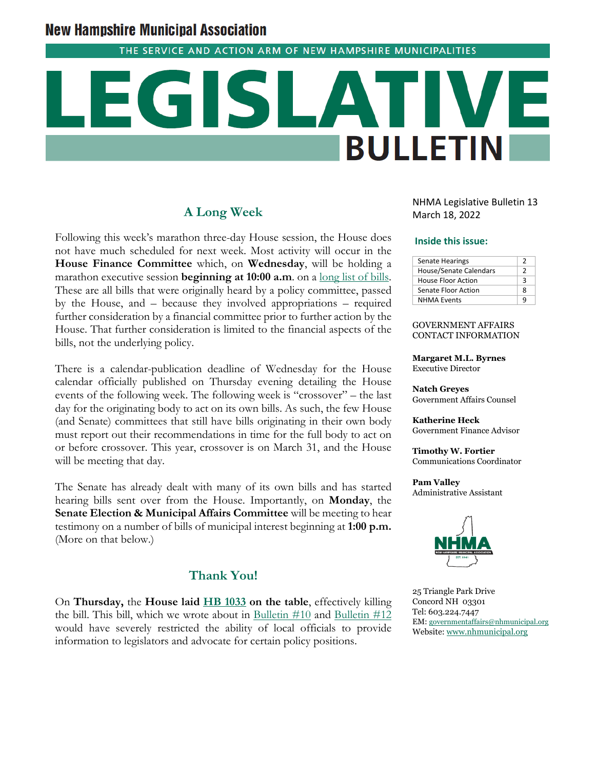# **New Hampshire Municipal Association**

THE SERVICE AND ACTION ARM OF NEW HAMPSHIRE MUNICIPALITIES

# **BULLETIN**

# **A Long Week**

Following this week's marathon three-day House session, the House does not have much scheduled for next week. Most activity will occur in the **House Finance Committee** which, on **Wednesday**, will be holding a marathon executive session **beginning at 10:00 a.m**. on a long list of bills. These are all bills that were originally heard by a policy committee, passed by the House, and – because they involved appropriations – required further consideration by a financial committee prior to further action by the House. That further consideration is limited to the financial aspects of the bills, not the underlying policy.

There is a calendar-publication deadline of Wednesday for the House calendar officially published on Thursday evening detailing the House events of the following week. The following week is "crossover" – the last day for the originating body to act on its own bills. As such, the few House (and Senate) committees that still have bills originating in their own body must report out their recommendations in time for the full body to act on or before crossover. This year, crossover is on March 31, and the House will be meeting that day.

The Senate has already dealt with many of its own bills and has started hearing bills sent over from the House. Importantly, on **Monday**, the **Senate Election & Municipal Affairs Committee** will be meeting to hear testimony on a number of bills of municipal interest beginning at **1:00 p.m.**  (More on that below.)

# **Thank You!**

On **Thursday,** the **House laid [HB 1033](http://www.gencourt.state.nh.us/bill_status/billinfo.aspx?id=1211&inflect=2) on the table**, effectively killing the bill. This bill, which we wrote about in Bulletin  $#10$  and Bulletin  $#12$ would have severely restricted the ability of local officials to provide information to legislators and advocate for certain policy positions.

NHMA Legislative Bulletin 13 March 18, 2022

#### **Inside this issue:**

| <b>Senate Hearings</b> |   |
|------------------------|---|
| House/Senate Calendars | າ |
| House Floor Action     | ર |
| Senate Floor Action    | 8 |
| <b>NHMA Events</b>     | a |

#### GOVERNMENT AFFAIRS CONTACT INFORMATION

**Margaret M.L. Byrnes** Executive Director

**Natch Greyes** Government Affairs Counsel

**Katherine Heck** Government Finance Advisor

**Timothy W. Fortier** Communications Coordinator

**Pam Valley** Administrative Assistant



25 Triangle Park Drive Concord NH 03301 Tel: 603.224.7447 EM[: governmentaffairs@nhmunicipal.org](mailto:governmentaffairs@nhmunicipal.org) Website[: www.nhmunicipal.org](http://www.nhmunicipal.org/)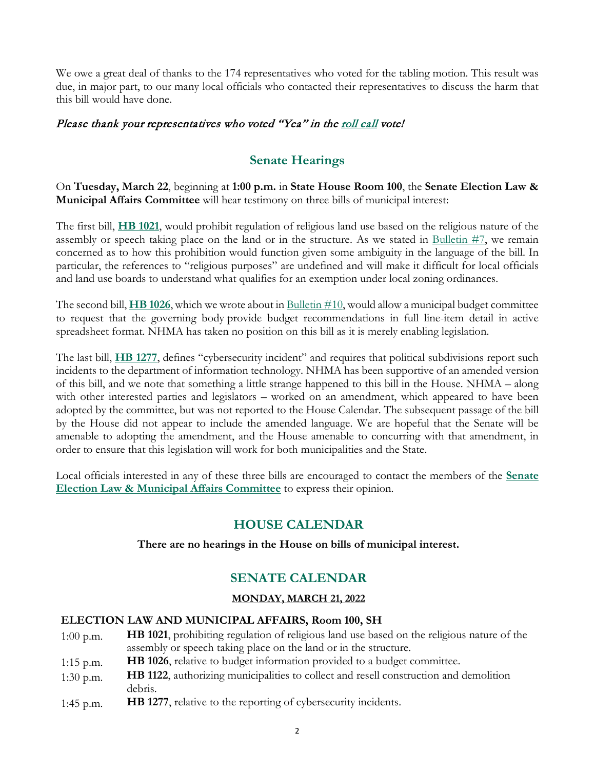We owe a great deal of thanks to the 174 representatives who voted for the tabling motion. This result was due, in major part, to our many local officials who contacted their representatives to discuss the harm that this bill would have done.

# Please thank your representatives who voted "Yea" in the [roll call](http://www.gencourt.state.nh.us/bill_status/billinfo.aspx?id=1211&inflect=2) vote!

# **Senate Hearings**

On **Tuesday, March 22**, beginning at **1:00 p.m.** in **State House Room 100**, the **Senate Election Law & Municipal Affairs Committee** will hear testimony on three bills of municipal interest:

The first bill, **[HB 1021](http://www.gencourt.state.nh.us/bill_status/pdf.aspx?id=26021&q=billVersion)**, would prohibit regulation of religious land use based on the religious nature of the assembly or speech taking place on the land or in the structure. As we stated in [Bulletin #7,](https://www.nhmunicipal.org/legislative-bulletin/2022-nhma-legislative-bulletin-07#26557) we remain concerned as to how this prohibition would function given some ambiguity in the language of the bill. In particular, the references to "religious purposes" are undefined and will make it difficult for local officials and land use boards to understand what qualifies for an exemption under local zoning ordinances.

The second bill, **[HB 1026](http://www.gencourt.state.nh.us/bill_status/pdf.aspx?id=26030&q=billVersion)**, which we wrote about in [Bulletin #10,](https://www.nhmunicipal.org/legislative-bulletin/2022-nhma-legislative-bulletin-10#26755) would allow a municipal budget committee to request that the governing body provide budget recommendations in full line-item detail in active spreadsheet format. NHMA has taken no position on this bill as it is merely enabling legislation.

The last bill, **[HB 1277](http://www.gencourt.state.nh.us/bill_status/pdf.aspx?id=27749&q=billVersion)**, defines "cybersecurity incident" and requires that political subdivisions report such incidents to the department of information technology. NHMA has been supportive of an amended version of this bill, and we note that something a little strange happened to this bill in the House. NHMA – along with other interested parties and legislators – worked on an amendment, which appeared to have been adopted by the committee, but was not reported to the House Calendar. The subsequent passage of the bill by the House did not appear to include the amended language. We are hopeful that the Senate will be amenable to adopting the amendment, and the House amenable to concurring with that amendment, in order to ensure that this legislation will work for both municipalities and the State.

Local officials interested in any of these three bills are encouraged to contact the members of the **[Senate](http://www.gencourt.state.nh.us/senate/committees/committee_details.aspx?cc=1421)  [Election Law & Municipal Affairs Committee](http://www.gencourt.state.nh.us/senate/committees/committee_details.aspx?cc=1421)** to express their opinion.

# **HOUSE CALENDAR**

## **There are no hearings in the House on bills of municipal interest.**

# **SENATE CALENDAR**

## **MONDAY, MARCH 21, 2022**

## **ELECTION LAW AND MUNICIPAL AFFAIRS, Room 100, SH**

- 1:00 p.m. **HB 1021**, prohibiting regulation of religious land use based on the religious nature of the assembly or speech taking place on the land or in the structure.
- 1:15 p.m. **HB 1026**, relative to budget information provided to a budget committee.
- 1:30 p.m. **HB 1122**, authorizing municipalities to collect and resell construction and demolition debris.
- 1:45 p.m. **HB 1277**, relative to the reporting of cybersecurity incidents.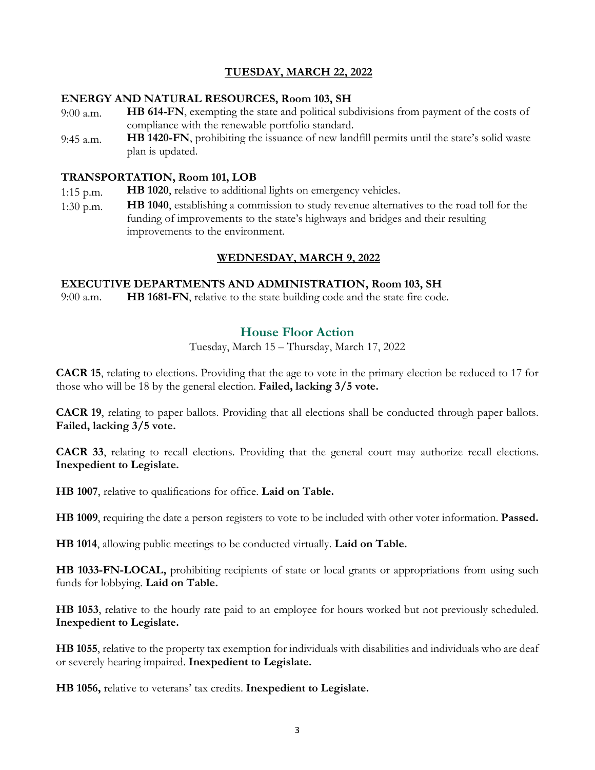## **TUESDAY, MARCH 22, 2022**

#### **ENERGY AND NATURAL RESOURCES, Room 103, SH**

- 9:00 a.m. **HB 614-FN**, exempting the state and political subdivisions from payment of the costs of compliance with the renewable portfolio standard.
- 9:45 a.m. **HB 1420-FN**, prohibiting the issuance of new landfill permits until the state's solid waste plan is updated.

#### **TRANSPORTATION, Room 101, LOB**

- 1:15 p.m. **HB 1020**, relative to additional lights on emergency vehicles.
- 1:30 p.m. **HB 1040**, establishing a commission to study revenue alternatives to the road toll for the funding of improvements to the state's highways and bridges and their resulting improvements to the environment.

## **WEDNESDAY, MARCH 9, 2022**

#### **EXECUTIVE DEPARTMENTS AND ADMINISTRATION, Room 103, SH**

9:00 a.m. **HB 1681-FN**, relative to the state building code and the state fire code.

# **House Floor Action**

Tuesday, March 15 – Thursday, March 17, 2022

**CACR 15**, relating to elections. Providing that the age to vote in the primary election be reduced to 17 for those who will be 18 by the general election. **Failed, lacking 3/5 vote.** 

**CACR 19**, relating to paper ballots. Providing that all elections shall be conducted through paper ballots. **Failed, lacking 3/5 vote.** 

**CACR 33**, relating to recall elections. Providing that the general court may authorize recall elections. **Inexpedient to Legislate.**

**HB 1007**, relative to qualifications for office. **Laid on Table.**

**HB 1009**, requiring the date a person registers to vote to be included with other voter information. **Passed.**

**HB 1014**, allowing public meetings to be conducted virtually. **Laid on Table.**

**HB 1033-FN-LOCAL,** prohibiting recipients of state or local grants or appropriations from using such funds for lobbying. **Laid on Table.**

**HB 1053**, relative to the hourly rate paid to an employee for hours worked but not previously scheduled. **Inexpedient to Legislate.**

**HB 1055**, relative to the property tax exemption for individuals with disabilities and individuals who are deaf or severely hearing impaired. **Inexpedient to Legislate.**

**HB 1056,** relative to veterans' tax credits. **Inexpedient to Legislate.**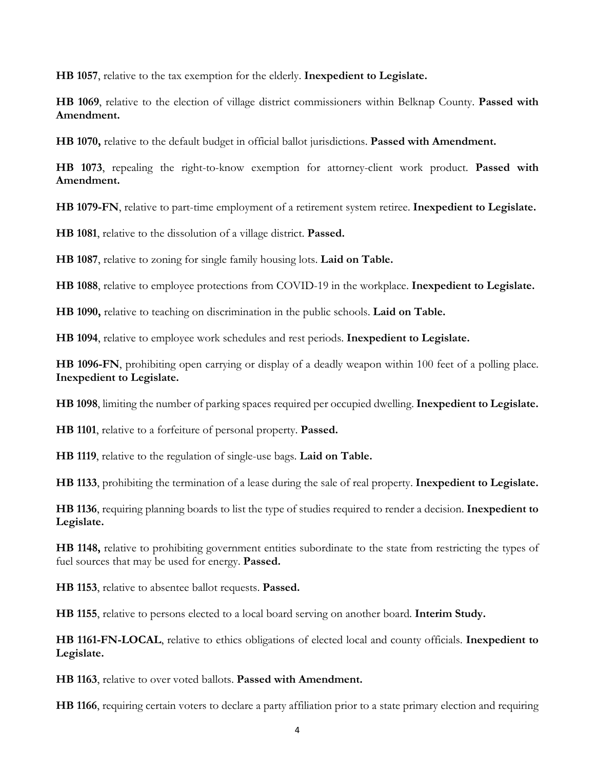**HB 1057**, relative to the tax exemption for the elderly. **Inexpedient to Legislate.**

**HB 1069**, relative to the election of village district commissioners within Belknap County. **Passed with Amendment.**

**HB 1070,** relative to the default budget in official ballot jurisdictions. **Passed with Amendment.**

**HB 1073**, repealing the right-to-know exemption for attorney-client work product. **Passed with Amendment.** 

**HB 1079-FN**, relative to part-time employment of a retirement system retiree. **Inexpedient to Legislate.**

**HB 1081**, relative to the dissolution of a village district. **Passed.** 

**HB 1087**, relative to zoning for single family housing lots. **Laid on Table.**

**HB 1088**, relative to employee protections from COVID-19 in the workplace. **Inexpedient to Legislate.**

**HB 1090,** relative to teaching on discrimination in the public schools. **Laid on Table.** 

**HB 1094**, relative to employee work schedules and rest periods. **Inexpedient to Legislate.** 

**HB 1096-FN**, prohibiting open carrying or display of a deadly weapon within 100 feet of a polling place. **Inexpedient to Legislate.** 

**HB 1098**, limiting the number of parking spaces required per occupied dwelling. **Inexpedient to Legislate.**

**HB 1101**, relative to a forfeiture of personal property. **Passed.**

**HB 1119**, relative to the regulation of single-use bags. **Laid on Table.** 

**HB 1133**, prohibiting the termination of a lease during the sale of real property. **Inexpedient to Legislate.**

**HB 1136**, requiring planning boards to list the type of studies required to render a decision. **Inexpedient to Legislate.**

**HB 1148,** relative to prohibiting government entities subordinate to the state from restricting the types of fuel sources that may be used for energy. **Passed.**

**HB 1153**, relative to absentee ballot requests. **Passed.** 

**HB 1155**, relative to persons elected to a local board serving on another board. **Interim Study.**

**HB 1161-FN-LOCAL**, relative to ethics obligations of elected local and county officials. **Inexpedient to Legislate.**

**HB 1163**, relative to over voted ballots. **Passed with Amendment.**

**HB 1166**, requiring certain voters to declare a party affiliation prior to a state primary election and requiring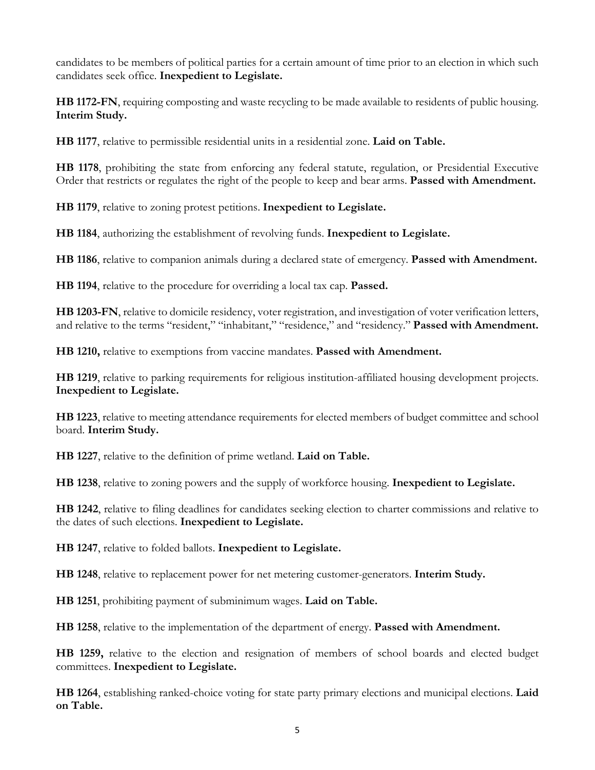candidates to be members of political parties for a certain amount of time prior to an election in which such candidates seek office. **Inexpedient to Legislate.**

**HB 1172-FN**, requiring composting and waste recycling to be made available to residents of public housing. **Interim Study.**

**HB 1177**, relative to permissible residential units in a residential zone. **Laid on Table.**

**HB 1178**, prohibiting the state from enforcing any federal statute, regulation, or Presidential Executive Order that restricts or regulates the right of the people to keep and bear arms. **Passed with Amendment.**

**HB 1179**, relative to zoning protest petitions. **Inexpedient to Legislate.**

**HB 1184**, authorizing the establishment of revolving funds. **Inexpedient to Legislate.**

**HB 1186**, relative to companion animals during a declared state of emergency. **Passed with Amendment.**

**HB 1194**, relative to the procedure for overriding a local tax cap. **Passed.**

**HB 1203-FN**, relative to domicile residency, voter registration, and investigation of voter verification letters, and relative to the terms "resident," "inhabitant," "residence," and "residency." **Passed with Amendment.**

**HB 1210,** relative to exemptions from vaccine mandates. **Passed with Amendment.**

**HB 1219**, relative to parking requirements for religious institution-affiliated housing development projects. **Inexpedient to Legislate.** 

**HB 1223**, relative to meeting attendance requirements for elected members of budget committee and school board. **Interim Study.**

**HB 1227**, relative to the definition of prime wetland. **Laid on Table.** 

**HB 1238**, relative to zoning powers and the supply of workforce housing. **Inexpedient to Legislate.**

**HB 1242**, relative to filing deadlines for candidates seeking election to charter commissions and relative to the dates of such elections. **Inexpedient to Legislate.**

**HB 1247**, relative to folded ballots. **Inexpedient to Legislate.**

**HB 1248**, relative to replacement power for net metering customer-generators. **Interim Study.**

**HB 1251**, prohibiting payment of subminimum wages. **Laid on Table.**

**HB 1258**, relative to the implementation of the department of energy. **Passed with Amendment.**

**HB 1259,** relative to the election and resignation of members of school boards and elected budget committees. **Inexpedient to Legislate.**

**HB 1264**, establishing ranked-choice voting for state party primary elections and municipal elections. **Laid on Table.**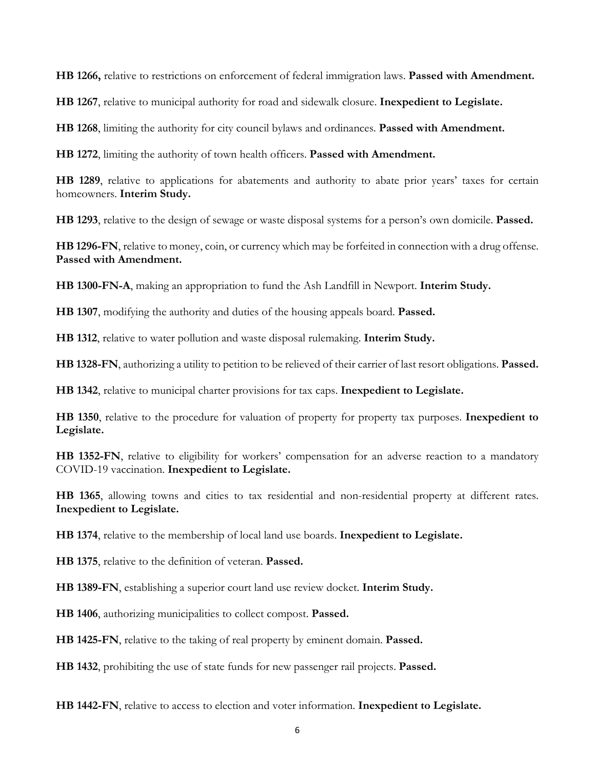**HB 1266,** relative to restrictions on enforcement of federal immigration laws. **Passed with Amendment.** 

**HB 1267**, relative to municipal authority for road and sidewalk closure. **Inexpedient to Legislate.**

**HB 1268**, limiting the authority for city council bylaws and ordinances. **Passed with Amendment.** 

**HB 1272**, limiting the authority of town health officers. **Passed with Amendment.**

**HB 1289**, relative to applications for abatements and authority to abate prior years' taxes for certain homeowners. **Interim Study.** 

**HB 1293**, relative to the design of sewage or waste disposal systems for a person's own domicile. **Passed.**

**HB 1296-FN**, relative to money, coin, or currency which may be forfeited in connection with a drug offense. **Passed with Amendment.** 

**HB 1300-FN-A**, making an appropriation to fund the Ash Landfill in Newport. **Interim Study.**

**HB 1307**, modifying the authority and duties of the housing appeals board. **Passed.**

**HB 1312**, relative to water pollution and waste disposal rulemaking. **Interim Study.**

**HB 1328-FN**, authorizing a utility to petition to be relieved of their carrier of last resort obligations. **Passed.**

**HB 1342**, relative to municipal charter provisions for tax caps. **Inexpedient to Legislate.**

**HB 1350**, relative to the procedure for valuation of property for property tax purposes. **Inexpedient to Legislate.**

**HB 1352-FN**, relative to eligibility for workers' compensation for an adverse reaction to a mandatory COVID-19 vaccination. **Inexpedient to Legislate.**

**HB 1365**, allowing towns and cities to tax residential and non-residential property at different rates. **Inexpedient to Legislate.**

**HB 1374**, relative to the membership of local land use boards. **Inexpedient to Legislate.**

**HB 1375**, relative to the definition of veteran. **Passed.**

**HB 1389-FN**, establishing a superior court land use review docket. **Interim Study.**

**HB 1406**, authorizing municipalities to collect compost. **Passed.**

**HB 1425-FN**, relative to the taking of real property by eminent domain. **Passed.**

**HB 1432**, prohibiting the use of state funds for new passenger rail projects. **Passed.**

**HB 1442-FN**, relative to access to election and voter information. **Inexpedient to Legislate.**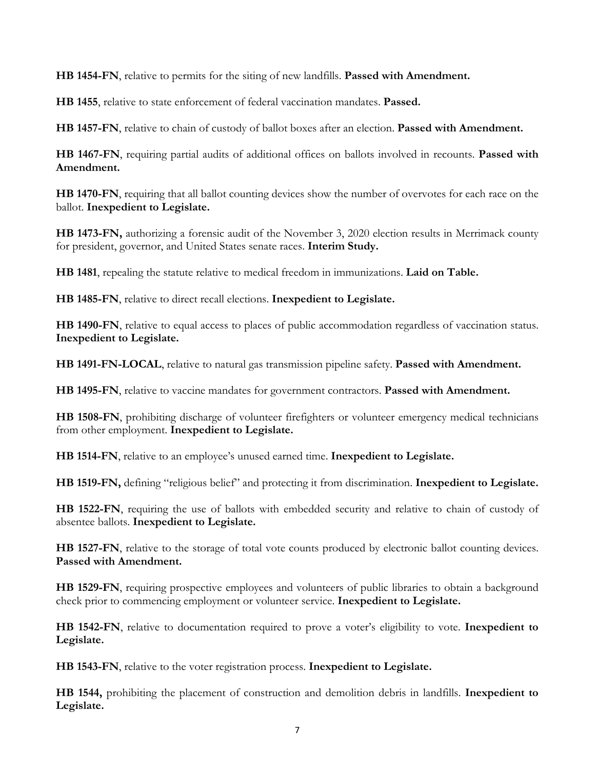**HB 1454-FN**, relative to permits for the siting of new landfills. **Passed with Amendment.**

**HB 1455**, relative to state enforcement of federal vaccination mandates. **Passed.**

**HB 1457-FN**, relative to chain of custody of ballot boxes after an election. **Passed with Amendment.**

**HB 1467-FN**, requiring partial audits of additional offices on ballots involved in recounts. **Passed with Amendment.**

**HB 1470-FN**, requiring that all ballot counting devices show the number of overvotes for each race on the ballot. **Inexpedient to Legislate.**

**HB 1473-FN,** authorizing a forensic audit of the November 3, 2020 election results in Merrimack county for president, governor, and United States senate races. **Interim Study.**

**HB 1481**, repealing the statute relative to medical freedom in immunizations. **Laid on Table.**

**HB 1485-FN**, relative to direct recall elections. **Inexpedient to Legislate.**

**HB 1490-FN**, relative to equal access to places of public accommodation regardless of vaccination status. **Inexpedient to Legislate.**

**HB 1491-FN-LOCAL**, relative to natural gas transmission pipeline safety. **Passed with Amendment.**

**HB 1495-FN**, relative to vaccine mandates for government contractors. **Passed with Amendment.**

**HB 1508-FN**, prohibiting discharge of volunteer firefighters or volunteer emergency medical technicians from other employment. **Inexpedient to Legislate.** 

**HB 1514-FN**, relative to an employee's unused earned time. **Inexpedient to Legislate.** 

**HB 1519-FN,** defining "religious belief" and protecting it from discrimination. **Inexpedient to Legislate.**

**HB 1522-FN**, requiring the use of ballots with embedded security and relative to chain of custody of absentee ballots. **Inexpedient to Legislate.**

**HB 1527-FN**, relative to the storage of total vote counts produced by electronic ballot counting devices. **Passed with Amendment.**

**HB 1529-FN**, requiring prospective employees and volunteers of public libraries to obtain a background check prior to commencing employment or volunteer service. **Inexpedient to Legislate.**

**HB 1542-FN**, relative to documentation required to prove a voter's eligibility to vote. **Inexpedient to Legislate.**

**HB 1543-FN**, relative to the voter registration process. **Inexpedient to Legislate.**

**HB 1544,** prohibiting the placement of construction and demolition debris in landfills. **Inexpedient to Legislate.**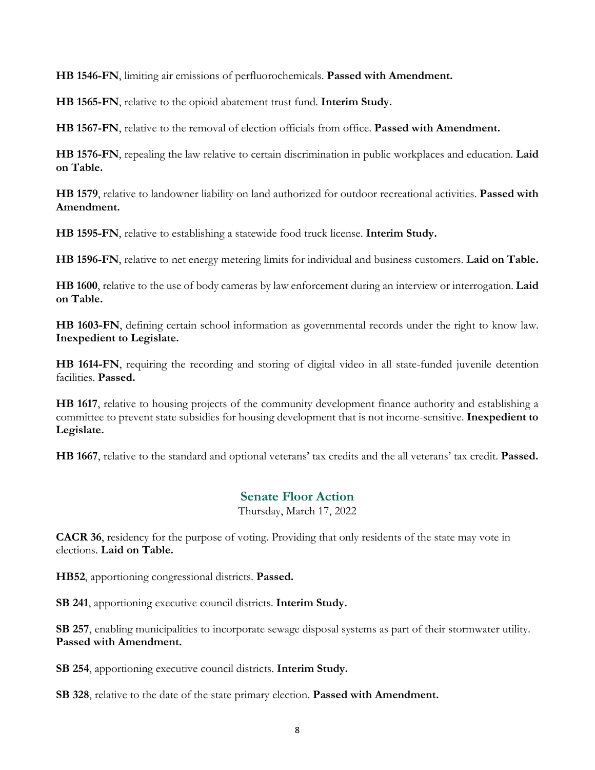**HB 1546-FN**, limiting air emissions of perfluorochemicals. **Passed with Amendment.**

**HB 1565-FN**, relative to the opioid abatement trust fund. **Interim Study.**

**HB 1567-FN**, relative to the removal of election officials from office. **Passed with Amendment.**

**HB 1576-FN**, repealing the law relative to certain discrimination in public workplaces and education. **Laid on Table.**

**HB 1579**, relative to landowner liability on land authorized for outdoor recreational activities. **Passed with Amendment.**

**HB 1595-FN**, relative to establishing a statewide food truck license. **Interim Study.**

**HB 1596-FN**, relative to net energy metering limits for individual and business customers. **Laid on Table.**

**HB 1600**, relative to the use of body cameras by law enforcement during an interview or interrogation. **Laid on Table.**

**HB 1603-FN**, defining certain school information as governmental records under the right to know law. **Inexpedient to Legislate.**

**HB 1614-FN**, requiring the recording and storing of digital video in all state-funded juvenile detention facilities. **Passed.**

**HB 1617**, relative to housing projects of the community development finance authority and establishing a committee to prevent state subsidies for housing development that is not income-sensitive. **Inexpedient to Legislate.**

**HB 1667**, relative to the standard and optional veterans' tax credits and the all veterans' tax credit. **Passed.** 

# **Senate Floor Action**

Thursday, March 17, 2022

**CACR 36**, residency for the purpose of voting. Providing that only residents of the state may vote in elections. **Laid on Table.** 

**HB52**, apportioning congressional districts. **Passed.**

**SB 241**, apportioning executive council districts. **Interim Study.** 

**SB 257**, enabling municipalities to incorporate sewage disposal systems as part of their stormwater utility. **Passed with Amendment.** 

**SB 254**, apportioning executive council districts. **Interim Study.** 

**SB 328**, relative to the date of the state primary election. **Passed with Amendment.**